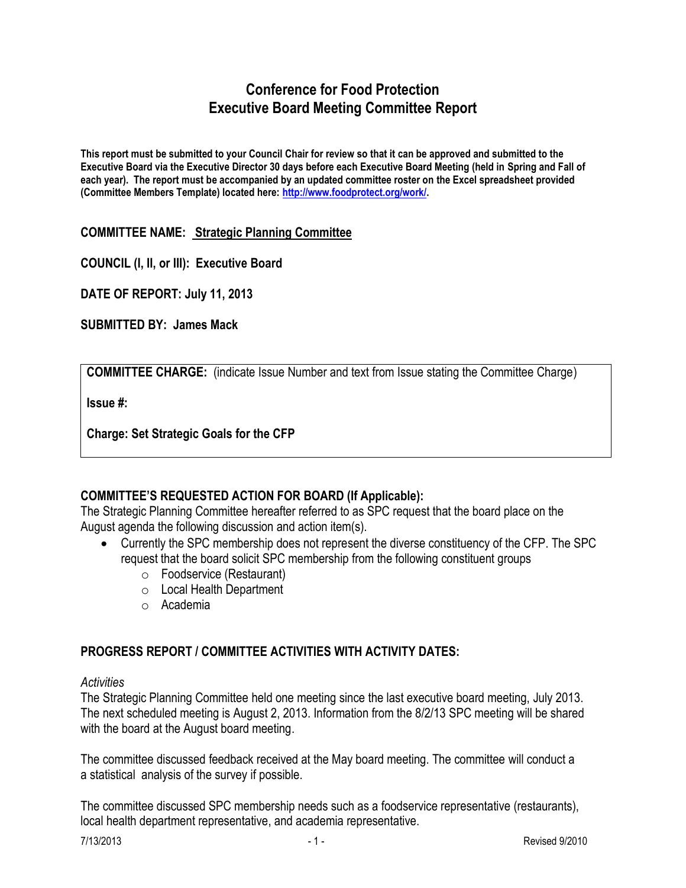## **Conference for Food Protection Executive Board Meeting Committee Report**

**This report must be submitted to your Council Chair for review so that it can be approved and submitted to the Executive Board via the Executive Director 30 days before each Executive Board Meeting (held in Spring and Fall of each year). The report must be accompanied by an updated committee roster on the Excel spreadsheet provided (Committee Members Template) located here: [http://www.foodprotect.org/work/.](http://www.foodprotect.org/work/)**

**COMMITTEE NAME: Strategic Planning Committee**

**COUNCIL (I, II, or III): Executive Board**

**DATE OF REPORT: July 11, 2013**

**SUBMITTED BY: James Mack**

**COMMITTEE CHARGE:** (indicate Issue Number and text from Issue stating the Committee Charge)

**Issue #:** 

**Charge: Set Strategic Goals for the CFP**

## **COMMITTEE'S REQUESTED ACTION FOR BOARD (If Applicable):**

The Strategic Planning Committee hereafter referred to as SPC request that the board place on the August agenda the following discussion and action item(s).

- Currently the SPC membership does not represent the diverse constituency of the CFP. The SPC request that the board solicit SPC membership from the following constituent groups
	- o Foodservice (Restaurant)
	- o Local Health Department
	- o Academia

## **PROGRESS REPORT / COMMITTEE ACTIVITIES WITH ACTIVITY DATES:**

## *Activities*

The Strategic Planning Committee held one meeting since the last executive board meeting, July 2013. The next scheduled meeting is August 2, 2013. Information from the 8/2/13 SPC meeting will be shared with the board at the August board meeting.

The committee discussed feedback received at the May board meeting. The committee will conduct a a statistical analysis of the survey if possible.

The committee discussed SPC membership needs such as a foodservice representative (restaurants), local health department representative, and academia representative.